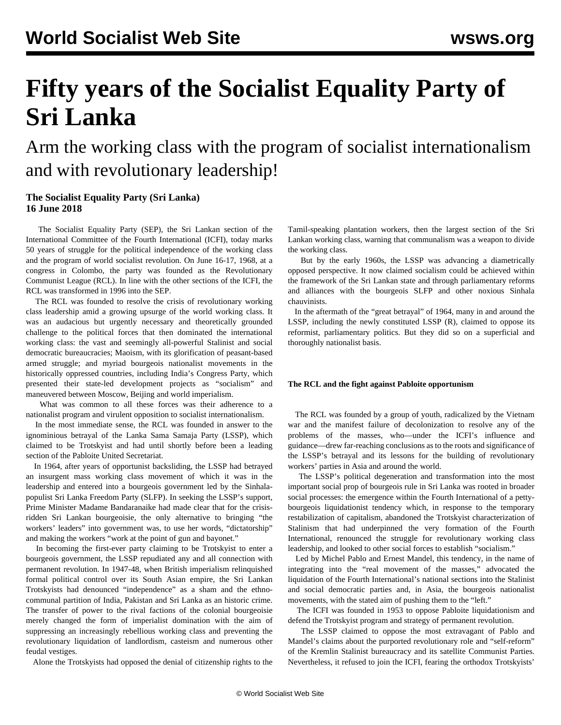# **Fifty years of the Socialist Equality Party of Sri Lanka**

## Arm the working class with the program of socialist internationalism and with revolutionary leadership!

### **The Socialist Equality Party (Sri Lanka) 16 June 2018**

 The Socialist Equality Party (SEP), the Sri Lankan section of the International Committee of the Fourth International (ICFI), today marks 50 years of struggle for the political independence of the working class and the program of world socialist revolution. On June 16-17, 1968, at a congress in Colombo, the party was founded as the Revolutionary Communist League (RCL). In line with the other sections of the ICFI, the RCL was transformed in 1996 into the SEP.

 The RCL was founded to resolve the crisis of revolutionary working class leadership amid a growing upsurge of the world working class. It was an audacious but urgently necessary and theoretically grounded challenge to the political forces that then dominated the international working class: the vast and seemingly all-powerful Stalinist and social democratic bureaucracies; Maoism, with its glorification of peasant-based armed struggle; and myriad bourgeois nationalist movements in the historically oppressed countries, including India's Congress Party, which presented their state-led development projects as "socialism" and maneuvered between Moscow, Beijing and world imperialism.

 What was common to all these forces was their adherence to a nationalist program and virulent opposition to socialist internationalism.

 In the most immediate sense, the RCL was founded in answer to the ignominious betrayal of the Lanka Sama Samaja Party (LSSP), which claimed to be Trotskyist and had until shortly before been a leading section of the Pabloite United Secretariat.

 In 1964, after years of opportunist backsliding, the LSSP had betrayed an insurgent mass working class movement of which it was in the leadership and entered into a bourgeois government led by the Sinhalapopulist Sri Lanka Freedom Party (SLFP). In seeking the LSSP's support, Prime Minister Madame Bandaranaike had made clear that for the crisisridden Sri Lankan bourgeoisie, the only alternative to bringing "the workers' leaders" into government was, to use her words, "dictatorship" and making the workers "work at the point of gun and bayonet."

 In becoming the first-ever party claiming to be Trotskyist to enter a bourgeois government, the LSSP repudiated any and all connection with permanent revolution. In 1947-48, when British imperialism relinquished formal political control over its South Asian empire, the Sri Lankan Trotskyists had denounced "independence" as a sham and the ethnocommunal partition of India, Pakistan and Sri Lanka as an historic crime. The transfer of power to the rival factions of the colonial bourgeoisie merely changed the form of imperialist domination with the aim of suppressing an increasingly rebellious working class and preventing the revolutionary liquidation of landlordism, casteism and numerous other feudal vestiges.

Alone the Trotskyists had opposed the denial of citizenship rights to the

Tamil-speaking plantation workers, then the largest section of the Sri Lankan working class, warning that communalism was a weapon to divide the working class.

 But by the early 1960s, the LSSP was advancing a diametrically opposed perspective. It now claimed socialism could be achieved within the framework of the Sri Lankan state and through parliamentary reforms and alliances with the bourgeois SLFP and other noxious Sinhala chauvinists.

 In the aftermath of the "great betrayal" of 1964, many in and around the LSSP, including the newly constituted LSSP (R), claimed to oppose its reformist, parliamentary politics. But they did so on a superficial and thoroughly nationalist basis.

#### **The RCL and the fight against Pabloite opportunism**

 The RCL was founded by a group of youth, radicalized by the Vietnam war and the manifest failure of decolonization to resolve any of the problems of the masses, who—under the ICFI's influence and guidance—drew far-reaching conclusions as to the roots and significance of the LSSP's betrayal and its lessons for the building of revolutionary workers' parties in Asia and around the world.

 The LSSP's political degeneration and transformation into the most important social prop of bourgeois rule in Sri Lanka was rooted in broader social processes: the emergence within the Fourth International of a pettybourgeois liquidationist tendency which, in response to the temporary restabilization of capitalism, abandoned the Trotskyist characterization of Stalinism that had underpinned the very formation of the Fourth International, renounced the struggle for revolutionary working class leadership, and looked to other social forces to establish "socialism."

 Led by Michel Pablo and Ernest Mandel, this tendency, in the name of integrating into the "real movement of the masses," advocated the liquidation of the Fourth International's national sections into the Stalinist and social democratic parties and, in Asia, the bourgeois nationalist movements, with the stated aim of pushing them to the "left."

 The ICFI was founded in 1953 to oppose Pabloite liquidationism and defend the Trotskyist program and strategy of permanent revolution.

 The LSSP claimed to oppose the most extravagant of Pablo and Mandel's claims about the purported revolutionary role and "self-reform" of the Kremlin Stalinist bureaucracy and its satellite Communist Parties. Nevertheless, it refused to join the ICFI, fearing the orthodox Trotskyists'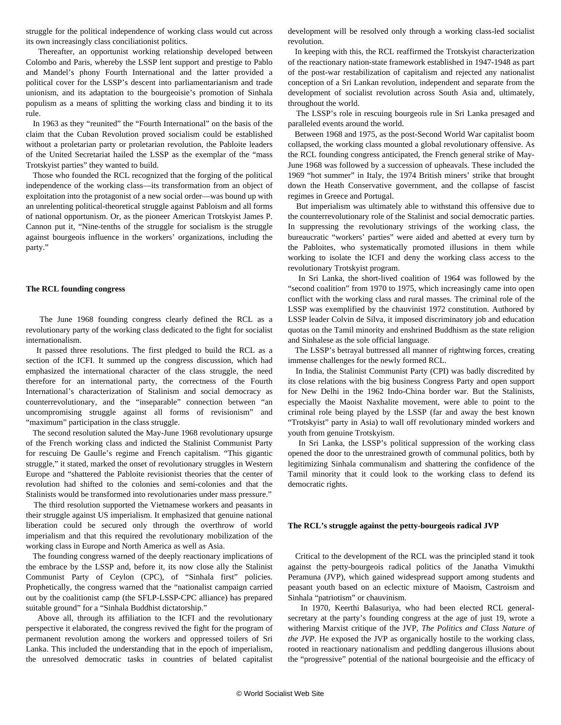struggle for the political independence of working class would cut across its own increasingly class conciliationist politics.

 Thereafter, an opportunist working relationship developed between Colombo and Paris, whereby the LSSP lent support and prestige to Pablo and Mandel's phony Fourth International and the latter provided a political cover for the LSSP's descent into parliamentarianism and trade unionism, and its adaptation to the bourgeoisie's promotion of Sinhala populism as a means of splitting the working class and binding it to its rule.

 In 1963 as they "reunited" the "Fourth International" on the basis of the claim that the Cuban Revolution proved socialism could be established without a proletarian party or proletarian revolution, the Pabloite leaders of the United Secretariat hailed the LSSP as the exemplar of the "mass Trotskyist parties" they wanted to build.

 Those who founded the RCL recognized that the forging of the political independence of the working class—its transformation from an object of exploitation into the protagonist of a new social order—was bound up with an unrelenting political-theoretical struggle against Pabloism and all forms of national opportunism. Or, as the pioneer American Trotskyist James P. Cannon put it, "Nine-tenths of the struggle for socialism is the struggle against bourgeois influence in the workers' organizations, including the party."

#### **The RCL founding congress**

 The June 1968 founding congress clearly defined the RCL as a revolutionary party of the working class dedicated to the fight for socialist internationalism.

 It passed three resolutions. The first pledged to build the RCL as a section of the ICFI. It summed up the congress discussion, which had emphasized the international character of the class struggle, the need therefore for an international party, the correctness of the Fourth International's characterization of Stalinism and social democracy as counterrevolutionary, and the "inseparable" connection between "an uncompromising struggle against all forms of revisionism" and "maximum" participation in the class struggle.

 The second resolution saluted the May-June 1968 revolutionary upsurge of the French working class and indicted the Stalinist Communist Party for rescuing De Gaulle's regime and French capitalism. "This gigantic struggle," it stated, marked the onset of revolutionary struggles in Western Europe and "shattered the Pabloite revisionist theories that the center of revolution had shifted to the colonies and semi-colonies and that the Stalinists would be transformed into revolutionaries under mass pressure."

 The third resolution supported the Vietnamese workers and peasants in their struggle against US imperialism. It emphasized that genuine national liberation could be secured only through the overthrow of world imperialism and that this required the revolutionary mobilization of the working class in Europe and North America as well as Asia.

 The founding congress warned of the deeply reactionary implications of the embrace by the LSSP and, before it, its now close ally the Stalinist Communist Party of Ceylon (CPC), of "Sinhala first" policies. Prophetically, the congress warned that the "nationalist campaign carried out by the coalitionist camp (the SFLP-LSSP-CPC alliance) has prepared suitable ground" for a "Sinhala Buddhist dictatorship."

 Above all, through its affiliation to the ICFI and the revolutionary perspective it elaborated, the congress revived the fight for the program of permanent revolution among the workers and oppressed toilers of Sri Lanka. This included the understanding that in the epoch of imperialism, the unresolved democratic tasks in countries of belated capitalist development will be resolved only through a working class-led socialist revolution.

 In keeping with this, the RCL reaffirmed the Trotskyist characterization of the reactionary nation-state framework established in 1947-1948 as part of the post-war restabilization of capitalism and rejected any nationalist conception of a Sri Lankan revolution, independent and separate from the development of socialist revolution across South Asia and, ultimately, throughout the world.

 The LSSP's role in rescuing bourgeois rule in Sri Lanka presaged and paralleled events around the world.

 Between 1968 and 1975, as the post-Second World War capitalist boom collapsed, the working class mounted a global revolutionary offensive. As the RCL founding congress anticipated, the French general strike of May-June 1968 was followed by a succession of upheavals. These included the 1969 "hot summer" in Italy, the 1974 British miners' strike that brought down the Heath Conservative government, and the collapse of fascist regimes in Greece and Portugal.

 But imperialism was ultimately able to withstand this offensive due to the counterrevolutionary role of the Stalinist and social democratic parties. In suppressing the revolutionary strivings of the working class, the bureaucratic "workers' parties" were aided and abetted at every turn by the Pabloites, who systematically promoted illusions in them while working to isolate the ICFI and deny the working class access to the revolutionary Trotskyist program.

 In Sri Lanka, the short-lived coalition of 1964 was followed by the "second coalition" from 1970 to 1975, which increasingly came into open conflict with the working class and rural masses. The criminal role of the LSSP was exemplified by the chauvinist 1972 constitution. Authored by LSSP leader Colvin de Silva, it imposed discriminatory job and education quotas on the Tamil minority and enshrined Buddhism as the state religion and Sinhalese as the sole official language.

 The LSSP's betrayal buttressed all manner of rightwing forces, creating immense challenges for the newly formed RCL.

 In India, the Stalinist Communist Party (CPI) was badly discredited by its close relations with the big business Congress Party and open support for New Delhi in the 1962 Indo-China border war. But the Stalinists, especially the Maoist Naxhalite movement, were able to point to the criminal role being played by the LSSP (far and away the best known "Trotskyist" party in Asia) to wall off revolutionary minded workers and youth from genuine Trotskyism.

 In Sri Lanka, the LSSP's political suppression of the working class opened the door to the unrestrained growth of communal politics, both by legitimizing Sinhala communalism and shattering the confidence of the Tamil minority that it could look to the working class to defend its democratic rights.

#### **The RCL's struggle against the petty-bourgeois radical JVP**

 Critical to the development of the RCL was the principled stand it took against the petty-bourgeois radical politics of the Janatha Vimukthi Peramuna (JVP), which gained widespread support among students and peasant youth based on an eclectic mixture of Maoism, Castroism and Sinhala "patriotism" or chauvinism.

 In 1970, Keerthi Balasuriya, who had been elected RCL generalsecretary at the party's founding congress at the age of just 19, wrote a withering Marxist critique of the JVP, *The Politics and Class Nature of the JVP*. He exposed the JVP as organically hostile to the working class, rooted in reactionary nationalism and peddling dangerous illusions about the "progressive" potential of the national bourgeoisie and the efficacy of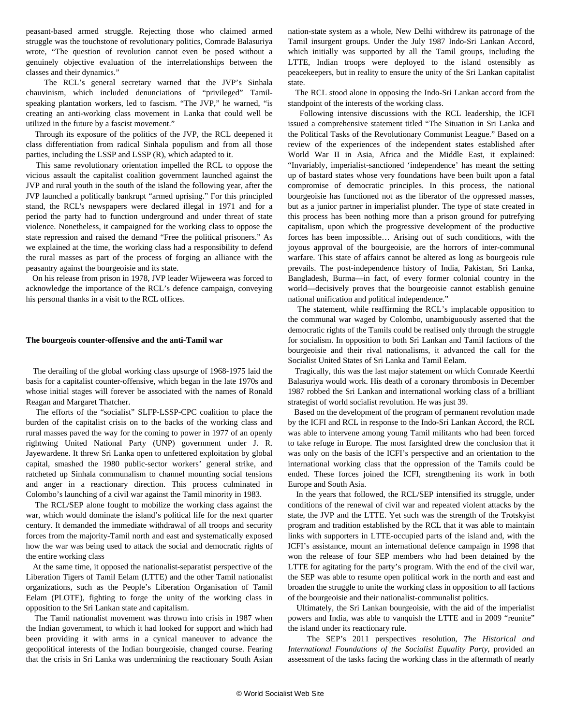peasant-based armed struggle. Rejecting those who claimed armed struggle was the touchstone of revolutionary politics, Comrade Balasuriya wrote, "The question of revolution cannot even be posed without a genuinely objective evaluation of the interrelationships between the classes and their dynamics."

 The RCL's general secretary warned that the JVP's Sinhala chauvinism, which included denunciations of "privileged" Tamilspeaking plantation workers, led to fascism. "The JVP," he warned, "is creating an anti-working class movement in Lanka that could well be utilized in the future by a fascist movement."

 Through its exposure of the politics of the JVP, the RCL deepened it class differentiation from radical Sinhala populism and from all those parties, including the LSSP and LSSP (R), which adapted to it.

 This same revolutionary orientation impelled the RCL to oppose the vicious assault the capitalist coalition government launched against the JVP and rural youth in the south of the island the following year, after the JVP launched a politically bankrupt "armed uprising." For this principled stand, the RCL's newspapers were declared illegal in 1971 and for a period the party had to function underground and under threat of state violence. Nonetheless, it campaigned for the working class to oppose the state repression and raised the demand "Free the political prisoners." As we explained at the time, the working class had a responsibility to defend the rural masses as part of the process of forging an alliance with the peasantry against the bourgeoisie and its state.

 On his release from prison in 1978, JVP leader Wijeweera was forced to acknowledge the importance of the RCL's defence campaign, conveying his personal thanks in a visit to the RCL offices.

#### **The bourgeois counter-offensive and the anti-Tamil war**

 The derailing of the global working class upsurge of 1968-1975 laid the basis for a capitalist counter-offensive, which began in the late 1970s and whose initial stages will forever be associated with the names of Ronald Reagan and Margaret Thatcher.

 The efforts of the "socialist" SLFP-LSSP-CPC coalition to place the burden of the capitalist crisis on to the backs of the working class and rural masses paved the way for the coming to power in 1977 of an openly rightwing United National Party (UNP) government under J. R. Jayewardene. It threw Sri Lanka open to unfettered exploitation by global capital, smashed the 1980 public-sector workers' general strike, and ratcheted up Sinhala communalism to channel mounting social tensions and anger in a reactionary direction. This process culminated in Colombo's launching of a civil war against the Tamil minority in 1983.

 The RCL/SEP alone fought to mobilize the working class against the war, which would dominate the island's political life for the next quarter century. It demanded the immediate withdrawal of all troops and security forces from the majority-Tamil north and east and systematically exposed how the war was being used to attack the social and democratic rights of the entire working class

 At the same time, it opposed the nationalist-separatist perspective of the Liberation Tigers of Tamil Eelam (LTTE) and the other Tamil nationalist organizations, such as the People's Liberation Organisation of Tamil Eelam (PLOTE), fighting to forge the unity of the working class in opposition to the Sri Lankan state and capitalism.

 The Tamil nationalist movement was thrown into crisis in 1987 when the Indian government, to which it had looked for support and which had been providing it with arms in a cynical maneuver to advance the geopolitical interests of the Indian bourgeoisie, changed course. Fearing that the crisis in Sri Lanka was undermining the reactionary South Asian nation-state system as a whole, New Delhi withdrew its patronage of the Tamil insurgent groups. Under the July 1987 Indo-Sri Lankan Accord, which initially was supported by all the Tamil groups, including the LTTE, Indian troops were deployed to the island ostensibly as peacekeepers, but in reality to ensure the unity of the Sri Lankan capitalist state.

 The RCL stood alone in opposing the Indo-Sri Lankan accord from the standpoint of the interests of the working class.

 Following intensive discussions with the RCL leadership, the ICFI issued a comprehensive statement titled "The Situation in Sri Lanka and the Political Tasks of the Revolutionary Communist League." Based on a review of the experiences of the independent states established after World War II in Asia, Africa and the Middle East, it explained: "Invariably, imperialist-sanctioned 'independence' has meant the setting up of bastard states whose very foundations have been built upon a fatal compromise of democratic principles. In this process, the national bourgeoisie has functioned not as the liberator of the oppressed masses, but as a junior partner in imperialist plunder. The type of state created in this process has been nothing more than a prison ground for putrefying capitalism, upon which the progressive development of the productive forces has been impossible… Arising out of such conditions, with the joyous approval of the bourgeoisie, are the horrors of inter-communal warfare. This state of affairs cannot be altered as long as bourgeois rule prevails. The post-independence history of India, Pakistan, Sri Lanka, Bangladesh, Burma—in fact, of every former colonial country in the world—decisively proves that the bourgeoisie cannot establish genuine national unification and political independence."

 The statement, while reaffirming the RCL's implacable opposition to the communal war waged by Colombo, unambiguously asserted that the democratic rights of the Tamils could be realised only through the struggle for socialism. In opposition to both Sri Lankan and Tamil factions of the bourgeoisie and their rival nationalisms, it advanced the call for the Socialist United States of Sri Lanka and Tamil Eelam.

 Tragically, this was the last major statement on which Comrade Keerthi Balasuriya would work. His death of a coronary thrombosis in December 1987 robbed the Sri Lankan and international working class of a brilliant strategist of world socialist revolution. He was just 39.

 Based on the development of the program of permanent revolution made by the ICFI and RCL in response to the Indo-Sri Lankan Accord, the RCL was able to intervene among young Tamil militants who had been forced to take refuge in Europe. The most farsighted drew the conclusion that it was only on the basis of the ICFI's perspective and an orientation to the international working class that the oppression of the Tamils could be ended. These forces joined the ICFI, strengthening its work in both Europe and South Asia.

 In the years that followed, the RCL/SEP intensified its struggle, under conditions of the renewal of civil war and repeated violent attacks by the state, the JVP and the LTTE. Yet such was the strength of the Trotskyist program and tradition established by the RCL that it was able to maintain links with supporters in LTTE-occupied parts of the island and, with the ICFI's assistance, mount an international defence campaign in 1998 that won the release of four SEP members who had been detained by the LTTE for agitating for the party's program. With the end of the civil war, the SEP was able to resume open political work in the north and east and broaden the struggle to unite the working class in opposition to all factions of the bourgeoisie and their nationalist-communalist politics.

 Ultimately, the Sri Lankan bourgeoisie, with the aid of the imperialist powers and India, was able to vanquish the LTTE and in 2009 "reunite" the island under its reactionary rule.

 The SEP's 2011 perspectives resolution, *The Historical and International Foundations of the Socialist Equality Party*, provided an assessment of the tasks facing the working class in the aftermath of nearly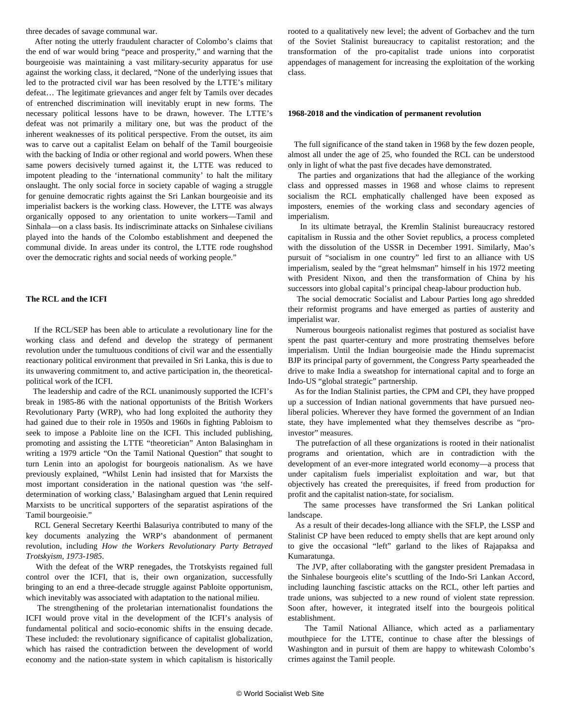three decades of savage communal war.

 After noting the utterly fraudulent character of Colombo's claims that the end of war would bring "peace and prosperity," and warning that the bourgeoisie was maintaining a vast military-security apparatus for use against the working class, it declared, "None of the underlying issues that led to the protracted civil war has been resolved by the LTTE's military defeat… The legitimate grievances and anger felt by Tamils over decades of entrenched discrimination will inevitably erupt in new forms. The necessary political lessons have to be drawn, however. The LTTE's defeat was not primarily a military one, but was the product of the inherent weaknesses of its political perspective. From the outset, its aim was to carve out a capitalist Eelam on behalf of the Tamil bourgeoisie with the backing of India or other regional and world powers. When these same powers decisively turned against it, the LTTE was reduced to impotent pleading to the 'international community' to halt the military onslaught. The only social force in society capable of waging a struggle for genuine democratic rights against the Sri Lankan bourgeoisie and its imperialist backers is the working class. However, the LTTE was always organically opposed to any orientation to unite workers—Tamil and Sinhala—on a class basis. Its indiscriminate attacks on Sinhalese civilians played into the hands of the Colombo establishment and deepened the communal divide. In areas under its control, the LTTE rode roughshod over the democratic rights and social needs of working people."

#### **The RCL and the ICFI**

 If the RCL/SEP has been able to articulate a revolutionary line for the working class and defend and develop the strategy of permanent revolution under the tumultuous conditions of civil war and the essentially reactionary political environment that prevailed in Sri Lanka, this is due to its unwavering commitment to, and active participation in, the theoreticalpolitical work of the ICFI.

 The leadership and cadre of the RCL unanimously supported the ICFI's break in 1985-86 with the national opportunists of the British Workers Revolutionary Party (WRP), who had long exploited the authority they had gained due to their role in 1950s and 1960s in fighting Pabloism to seek to impose a Pabloite line on the ICFI. This included publishing, promoting and assisting the LTTE "theoretician" Anton Balasingham in writing a 1979 article "On the Tamil National Question" that sought to turn Lenin into an apologist for bourgeois nationalism. As we have previously explained, "Whilst Lenin had insisted that for Marxists the most important consideration in the national question was 'the selfdetermination of working class,' Balasingham argued that Lenin required Marxists to be uncritical supporters of the separatist aspirations of the Tamil bourgeoisie."

 RCL General Secretary Keerthi Balasuriya contributed to many of the key documents analyzing the WRP's abandonment of permanent revolution, including *How the Workers Revolutionary Party Betrayed Trotskyism, 1973-1985*.

 With the defeat of the WRP renegades, the Trotskyists regained full control over the ICFI, that is, their own organization, successfully bringing to an end a three-decade struggle against Pabloite opportunism, which inevitably was associated with adaptation to the national milieu.

 The strengthening of the proletarian internationalist foundations the ICFI would prove vital in the development of the ICFI's analysis of fundamental political and socio-economic shifts in the ensuing decade. These included: the revolutionary significance of capitalist globalization, which has raised the contradiction between the development of world economy and the nation-state system in which capitalism is historically rooted to a qualitatively new level; the advent of Gorbachev and the turn of the Soviet Stalinist bureaucracy to capitalist restoration; and the transformation of the pro-capitalist trade unions into corporatist appendages of management for increasing the exploitation of the working class.

#### **1968-2018 and the vindication of permanent revolution**

 The full significance of the stand taken in 1968 by the few dozen people, almost all under the age of 25, who founded the RCL can be understood only in light of what the past five decades have demonstrated.

 The parties and organizations that had the allegiance of the working class and oppressed masses in 1968 and whose claims to represent socialism the RCL emphatically challenged have been exposed as imposters, enemies of the working class and secondary agencies of imperialism.

 In its ultimate betrayal, the Kremlin Stalinist bureaucracy restored capitalism in Russia and the other Soviet republics, a process completed with the dissolution of the USSR in December 1991. Similarly, Mao's pursuit of "socialism in one country" led first to an alliance with US imperialism, sealed by the "great helmsman" himself in his 1972 meeting with President Nixon, and then the transformation of China by his successors into global capital's principal cheap-labour production hub.

 The social democratic Socialist and Labour Parties long ago shredded their reformist programs and have emerged as parties of austerity and imperialist war.

 Numerous bourgeois nationalist regimes that postured as socialist have spent the past quarter-century and more prostrating themselves before imperialism. Until the Indian bourgeoisie made the Hindu supremacist BJP its principal party of government, the Congress Party spearheaded the drive to make India a sweatshop for international capital and to forge an Indo-US "global strategic" partnership.

 As for the Indian Stalinist parties, the CPM and CPI, they have propped up a succession of Indian national governments that have pursued neoliberal policies. Wherever they have formed the government of an Indian state, they have implemented what they themselves describe as "proinvestor" measures.

 The putrefaction of all these organizations is rooted in their nationalist programs and orientation, which are in contradiction with the development of an ever-more integrated world economy—a process that under capitalism fuels imperialist exploitation and war, but that objectively has created the prerequisites, if freed from production for profit and the capitalist nation-state, for socialism.

 The same processes have transformed the Sri Lankan political landscape.

 As a result of their decades-long alliance with the SFLP, the LSSP and Stalinist CP have been reduced to empty shells that are kept around only to give the occasional "left" garland to the likes of Rajapaksa and Kumaratunga.

 The JVP, after collaborating with the gangster president Premadasa in the Sinhalese bourgeois elite's scuttling of the Indo-Sri Lankan Accord, including launching fascistic attacks on the RCL, other left parties and trade unions, was subjected to a new round of violent state repression. Soon after, however, it integrated itself into the bourgeois political establishment.

 The Tamil National Alliance, which acted as a parliamentary mouthpiece for the LTTE, continue to chase after the blessings of Washington and in pursuit of them are happy to whitewash Colombo's crimes against the Tamil people.